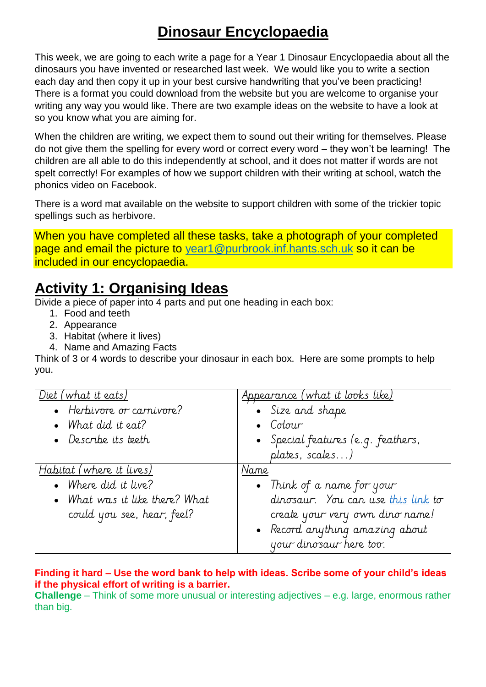# **Dinosaur Encyclopaedia**

This week, we are going to each write a page for a Year 1 Dinosaur Encyclopaedia about all the dinosaurs you have invented or researched last week. We would like you to write a section each day and then copy it up in your best cursive handwriting that you've been practicing! There is a format you could download from the website but you are welcome to organise your writing any way you would like. There are two example ideas on the website to have a look at so you know what you are aiming for.

When the children are writing, we expect them to sound out their writing for themselves. Please do not give them the spelling for every word or correct every word – they won't be learning! The children are all able to do this independently at school, and it does not matter if words are not spelt correctly! For examples of how we support children with their writing at school, watch the phonics video on Facebook.

There is a word mat available on the website to support children with some of the trickier topic spellings such as herbivore.

When you have completed all these tasks, take a photograph of your completed page and email the picture to [year1@purbrook.inf.hants.sch.uk](mailto:year1@purbrook.inf.hants.sch.uk) so it can be included in our encyclopaedia.

### **Activity 1: Organising Ideas**

Divide a piece of paper into 4 parts and put one heading in each box:

- 1. Food and teeth
- 2. Appearance
- 3. Habitat (where it lives)
- 4. Name and Amazing Facts

Think of 3 or 4 words to describe your dinosaur in each box. Here are some prompts to help you.

| Diet (what it eats)<br>• Herbivore or carnivore?<br>• What did it eat?<br>• Describe its teeth | <u>Appearance (what it looks like)</u><br>· Size and shape<br>Colour<br>• Special features (e.g. feathers,<br>plates, scales) |
|------------------------------------------------------------------------------------------------|-------------------------------------------------------------------------------------------------------------------------------|
| Habitat (where it lives)                                                                       | Name                                                                                                                          |
| • Where did it live?                                                                           | • Think of a name for your                                                                                                    |
| • What was it like there? What                                                                 | dinosaur. You can use this link to                                                                                            |
| could you see, hear, feel?                                                                     | create your very own dino name!                                                                                               |
|                                                                                                | • Record anything amazing about                                                                                               |
|                                                                                                | your dinosaur here too.                                                                                                       |

#### **Finding it hard – Use the word bank to help with ideas. Scribe some of your child's ideas if the physical effort of writing is a barrier.**

**Challenge** – Think of some more unusual or interesting adjectives – e.g. large, enormous rather than big.